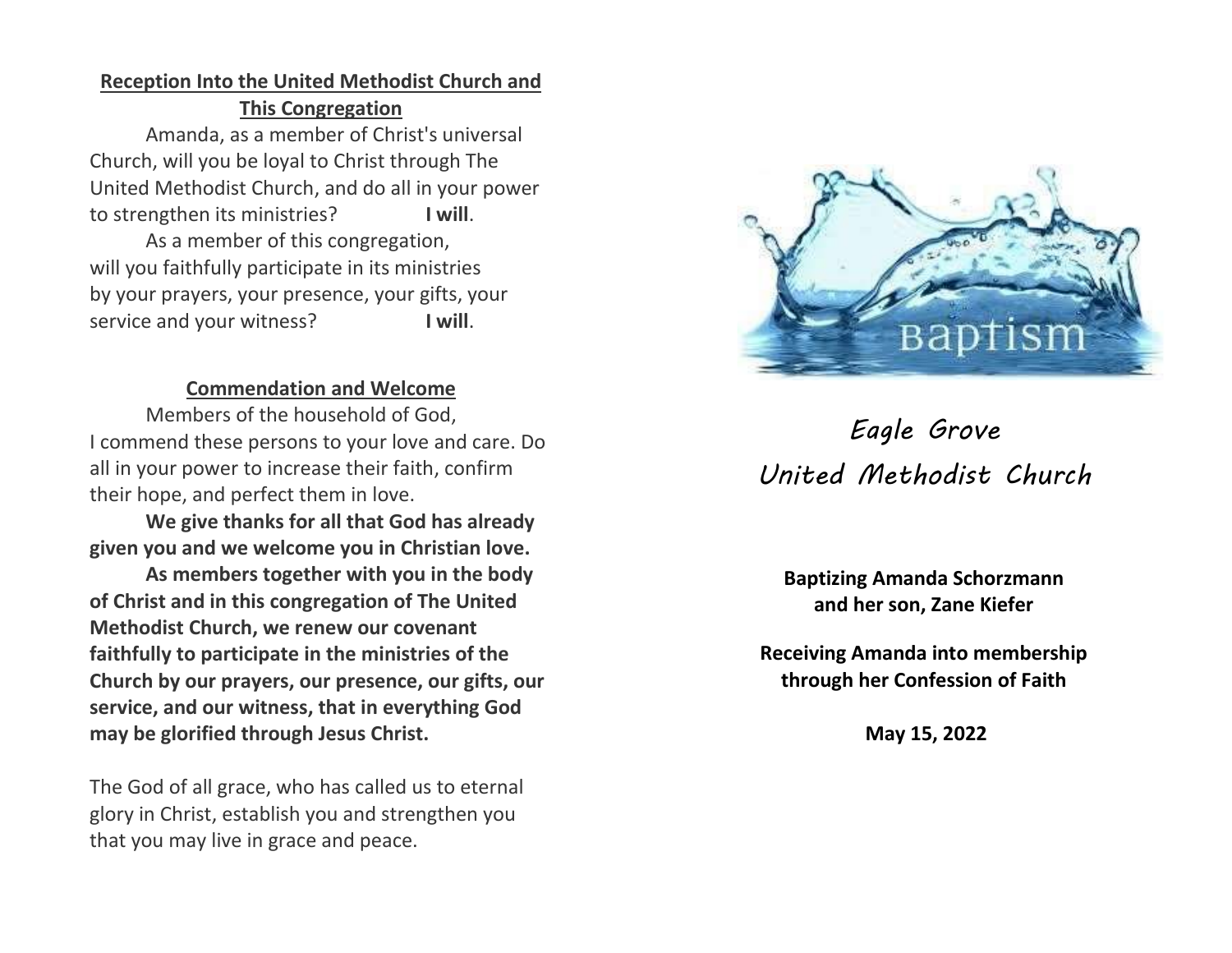## **Reception Into the United Methodist Church and This Congregation**

Amanda, as a member of Christ's universal Church, will you be loyal to Christ through The United Methodist Church, and do all in your power to strengthen its ministries? **I will**.

As a member of this congregation, will you faithfully participate in its ministries by your prayers, your presence, your gifts, your service and your witness? **I will**.

#### **Commendation and Welcome**

Members of the household of God, I commend these persons to your love and care. Do all in your power to increase their faith, confirm their hope, and perfect them in love.

**We give thanks for all that God has already given you and we welcome you in Christian love.**

**As members together with you in the body of Christ and in this congregation of The United Methodist Church, we renew our covenant faithfully to participate in the ministries of the Church by our prayers, our presence, our gifts, our service, and our witness, that in everything God may be glorified through Jesus Christ.**

The God of all grace, who has called us to eternal glory in Christ, establish you and strengthen you that you may live in grace and peace.



# *Eagle Grove United Methodist Church*

**Baptizing Amanda Schorzmann and her son, Zane Kiefer**

**Receiving Amanda into membership through her Confession of Faith**

**May 15, 2022**